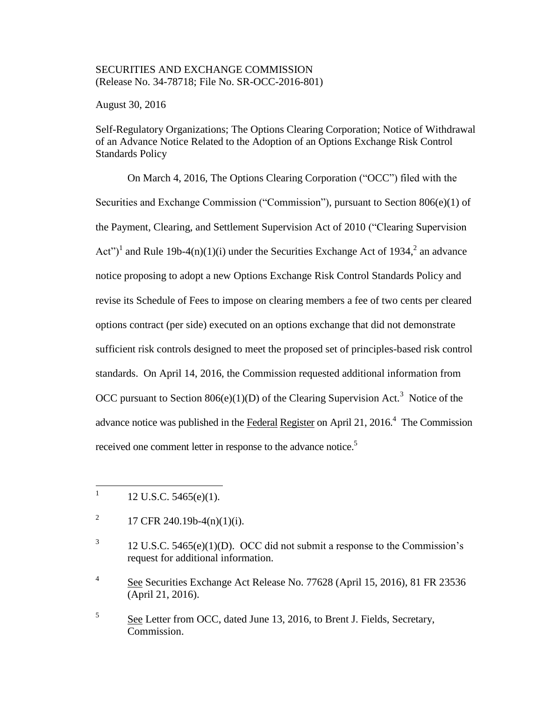## SECURITIES AND EXCHANGE COMMISSION (Release No. 34-78718; File No. SR-OCC-2016-801)

August 30, 2016

Self-Regulatory Organizations; The Options Clearing Corporation; Notice of Withdrawal of an Advance Notice Related to the Adoption of an Options Exchange Risk Control Standards Policy

On March 4, 2016, The Options Clearing Corporation ("OCC") filed with the Securities and Exchange Commission ("Commission"), pursuant to Section 806(e)(1) of the Payment, Clearing, and Settlement Supervision Act of 2010 ("Clearing Supervision Act")<sup>1</sup> and Rule 19b-4(n)(1)(i) under the Securities Exchange Act of 1934,<sup>2</sup> an advance notice proposing to adopt a new Options Exchange Risk Control Standards Policy and revise its Schedule of Fees to impose on clearing members a fee of two cents per cleared options contract (per side) executed on an options exchange that did not demonstrate sufficient risk controls designed to meet the proposed set of principles-based risk control standards. On April 14, 2016, the Commission requested additional information from OCC pursuant to Section  $806(e)(1)(D)$  of the Clearing Supervision Act.<sup>3</sup> Notice of the advance notice was published in the Federal Register on April 21, 2016.<sup>4</sup> The Commission received one comment letter in response to the advance notice.<sup>5</sup>

 $\frac{1}{1}$ 12 U.S.C. 5465(e)(1).

<sup>2</sup> 17 CFR 240.19b-4(n)(1)(i).

<sup>3</sup> 12 U.S.C. 5465(e)(1)(D). OCC did not submit a response to the Commission's request for additional information.

<sup>4</sup> See Securities Exchange Act Release No. 77628 (April 15, 2016), 81 FR 23536 (April 21, 2016).

<sup>5</sup> See Letter from OCC, dated June 13, 2016, to Brent J. Fields, Secretary, Commission.